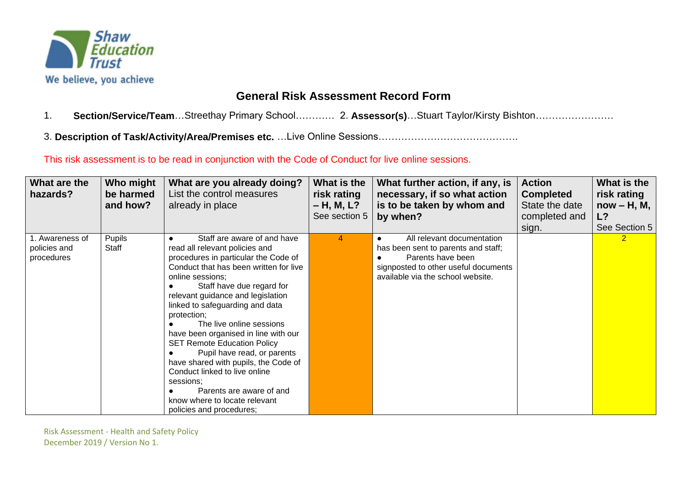

## **General Risk Assessment Record Form**

- 1. **Section/Service/Team**…Streethay Primary School………… 2. **Assessor(s)**…Stuart Taylor/Kirsty Bishton……………………
- 3. **Description of Task/Activity/Area/Premises etc.** …Live Online Sessions…………………………………….

This risk assessment is to be read in conjunction with the Code of Conduct for live online sessions.

| What are the<br>hazards?                      | Who might<br>be harmed<br>and how? | What are you already doing?<br>List the control measures<br>already in place                                                                                                                                                                                                                                                                                                                                                                                                                                                                                                                                    | What is the<br>risk rating<br>$- H, M, L?$<br>See section 5 | What further action, if any, is<br>necessary, if so what action<br>is to be taken by whom and<br>by when?                                                           | <b>Action</b><br><b>Completed</b><br>State the date<br>completed and<br>sign. | What is the<br>risk rating<br>$now - H, M,$<br>L?<br>See Section 5 |
|-----------------------------------------------|------------------------------------|-----------------------------------------------------------------------------------------------------------------------------------------------------------------------------------------------------------------------------------------------------------------------------------------------------------------------------------------------------------------------------------------------------------------------------------------------------------------------------------------------------------------------------------------------------------------------------------------------------------------|-------------------------------------------------------------|---------------------------------------------------------------------------------------------------------------------------------------------------------------------|-------------------------------------------------------------------------------|--------------------------------------------------------------------|
| 1. Awareness of<br>policies and<br>procedures | <b>Pupils</b><br>Staff             | Staff are aware of and have<br>read all relevant policies and<br>procedures in particular the Code of<br>Conduct that has been written for live<br>online sessions;<br>Staff have due regard for<br>relevant guidance and legislation<br>linked to safeguarding and data<br>protection;<br>The live online sessions<br>have been organised in line with our<br><b>SET Remote Education Policy</b><br>Pupil have read, or parents<br>have shared with pupils, the Code of<br>Conduct linked to live online<br>sessions:<br>Parents are aware of and<br>know where to locate relevant<br>policies and procedures; | 4                                                           | All relevant documentation<br>has been sent to parents and staff;<br>Parents have been<br>signposted to other useful documents<br>available via the school website. |                                                                               | $\overline{2}$                                                     |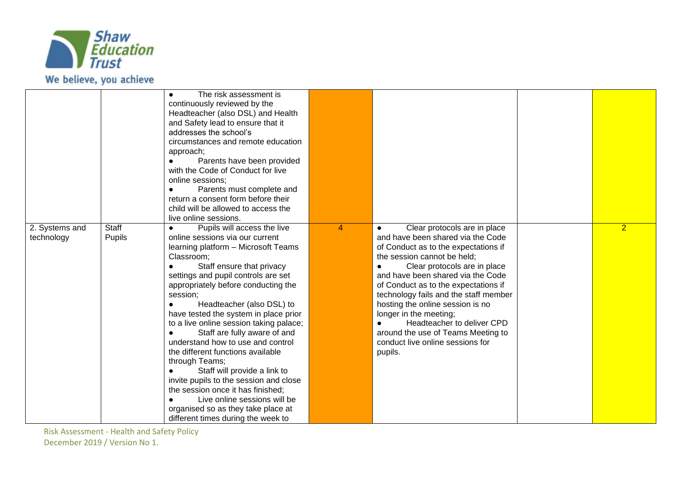

|                              |                        | The risk assessment is<br>continuously reviewed by the<br>Headteacher (also DSL) and Health<br>and Safety lead to ensure that it<br>addresses the school's<br>circumstances and remote education<br>approach;<br>Parents have been provided<br>with the Code of Conduct for live<br>online sessions;<br>Parents must complete and<br>return a consent form before their<br>child will be allowed to access the<br>live online sessions.                                                                                                                                                                                                                                                                            |                |                                                                                                                                                                                                                                                                                                                                                                                                                                                                                              |                |
|------------------------------|------------------------|--------------------------------------------------------------------------------------------------------------------------------------------------------------------------------------------------------------------------------------------------------------------------------------------------------------------------------------------------------------------------------------------------------------------------------------------------------------------------------------------------------------------------------------------------------------------------------------------------------------------------------------------------------------------------------------------------------------------|----------------|----------------------------------------------------------------------------------------------------------------------------------------------------------------------------------------------------------------------------------------------------------------------------------------------------------------------------------------------------------------------------------------------------------------------------------------------------------------------------------------------|----------------|
| 2. Systems and<br>technology | <b>Staff</b><br>Pupils | Pupils will access the live<br>online sessions via our current<br>learning platform - Microsoft Teams<br>Classroom;<br>Staff ensure that privacy<br>settings and pupil controls are set<br>appropriately before conducting the<br>session;<br>Headteacher (also DSL) to<br>have tested the system in place prior<br>to a live online session taking palace;<br>Staff are fully aware of and<br>understand how to use and control<br>the different functions available<br>through Teams;<br>Staff will provide a link to<br>invite pupils to the session and close<br>the session once it has finished;<br>Live online sessions will be<br>organised so as they take place at<br>different times during the week to | $\overline{4}$ | Clear protocols are in place<br>and have been shared via the Code<br>of Conduct as to the expectations if<br>the session cannot be held;<br>Clear protocols are in place<br>$\bullet$<br>and have been shared via the Code<br>of Conduct as to the expectations if<br>technology fails and the staff member<br>hosting the online session is no<br>longer in the meeting;<br>Headteacher to deliver CPD<br>around the use of Teams Meeting to<br>conduct live online sessions for<br>pupils. | $\overline{2}$ |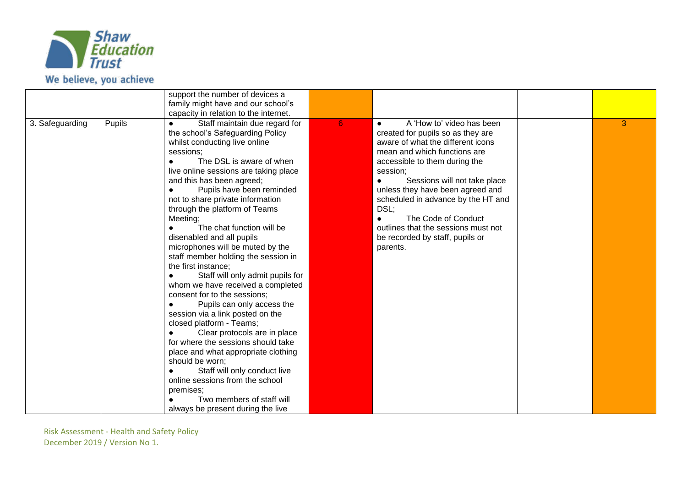

|                 |        | support the number of devices a<br>family might have and our school's<br>capacity in relation to the internet.                                                                                                                                                                                                                                                                                                                                                                                                                                                                                                                                                                                                                                                                                                                                                                                                                                                                                                              |   |                                                                                                                                                                                                                                                                                                                                                                                                                                           |   |
|-----------------|--------|-----------------------------------------------------------------------------------------------------------------------------------------------------------------------------------------------------------------------------------------------------------------------------------------------------------------------------------------------------------------------------------------------------------------------------------------------------------------------------------------------------------------------------------------------------------------------------------------------------------------------------------------------------------------------------------------------------------------------------------------------------------------------------------------------------------------------------------------------------------------------------------------------------------------------------------------------------------------------------------------------------------------------------|---|-------------------------------------------------------------------------------------------------------------------------------------------------------------------------------------------------------------------------------------------------------------------------------------------------------------------------------------------------------------------------------------------------------------------------------------------|---|
| 3. Safeguarding | Pupils | Staff maintain due regard for<br>$\bullet$<br>the school's Safeguarding Policy<br>whilst conducting live online<br>sessions;<br>The DSL is aware of when<br>live online sessions are taking place<br>and this has been agreed;<br>Pupils have been reminded<br>not to share private information<br>through the platform of Teams<br>Meeting;<br>The chat function will be<br>disenabled and all pupils<br>microphones will be muted by the<br>staff member holding the session in<br>the first instance;<br>Staff will only admit pupils for<br>whom we have received a completed<br>consent for to the sessions;<br>Pupils can only access the<br>$\bullet$<br>session via a link posted on the<br>closed platform - Teams;<br>Clear protocols are in place<br>for where the sessions should take<br>place and what appropriate clothing<br>should be worn;<br>Staff will only conduct live<br>$\bullet$<br>online sessions from the school<br>premises;<br>Two members of staff will<br>always be present during the live | 6 | A 'How to' video has been<br>$\bullet$<br>created for pupils so as they are<br>aware of what the different icons<br>mean and which functions are<br>accessible to them during the<br>session;<br>Sessions will not take place<br>unless they have been agreed and<br>scheduled in advance by the HT and<br>DSL;<br>The Code of Conduct<br>$\bullet$<br>outlines that the sessions must not<br>be recorded by staff, pupils or<br>parents. | 3 |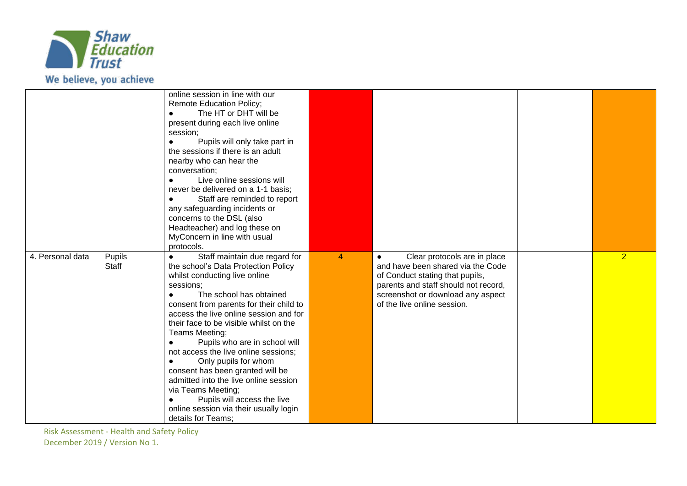

|                  |                 | online session in line with our<br><b>Remote Education Policy;</b><br>The HT or DHT will be<br>present during each live online<br>session;<br>Pupils will only take part in<br>the sessions if there is an adult<br>nearby who can hear the<br>conversation;<br>Live online sessions will<br>never be delivered on a 1-1 basis;<br>Staff are reminded to report<br>any safeguarding incidents or<br>concerns to the DSL (also<br>Headteacher) and log these on<br>MyConcern in line with usual<br>protocols.                                                                                                                |   |                                                                                                                                                                                                                               |                |
|------------------|-----------------|-----------------------------------------------------------------------------------------------------------------------------------------------------------------------------------------------------------------------------------------------------------------------------------------------------------------------------------------------------------------------------------------------------------------------------------------------------------------------------------------------------------------------------------------------------------------------------------------------------------------------------|---|-------------------------------------------------------------------------------------------------------------------------------------------------------------------------------------------------------------------------------|----------------|
| 4. Personal data | Pupils<br>Staff | Staff maintain due regard for<br>$\bullet$<br>the school's Data Protection Policy<br>whilst conducting live online<br>sessions;<br>The school has obtained<br>consent from parents for their child to<br>access the live online session and for<br>their face to be visible whilst on the<br>Teams Meeting;<br>Pupils who are in school will<br>not access the live online sessions;<br>Only pupils for whom<br>$\bullet$<br>consent has been granted will be<br>admitted into the live online session<br>via Teams Meeting;<br>Pupils will access the live<br>online session via their usually login<br>details for Teams; | 4 | Clear protocols are in place<br>$\bullet$<br>and have been shared via the Code<br>of Conduct stating that pupils,<br>parents and staff should not record,<br>screenshot or download any aspect<br>of the live online session. | $\overline{2}$ |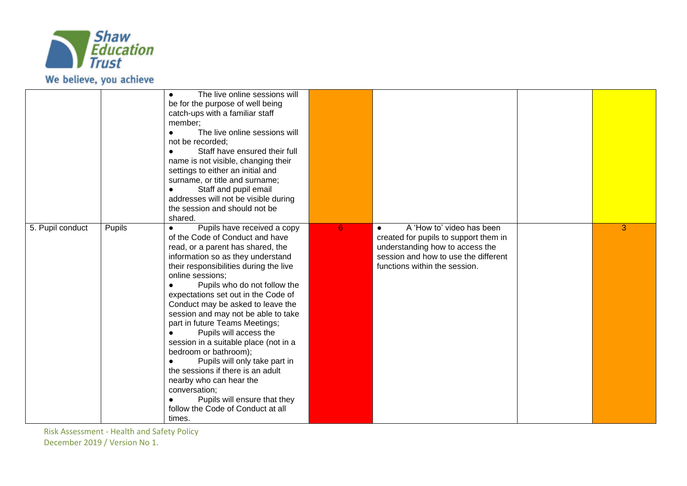

|                  |        | The live online sessions will<br>$\bullet$<br>be for the purpose of well being<br>catch-ups with a familiar staff<br>member;<br>The live online sessions will<br>not be recorded;<br>Staff have ensured their full<br>name is not visible, changing their<br>settings to either an initial and<br>surname, or title and surname;<br>Staff and pupil email<br>addresses will not be visible during<br>the session and should not be<br>shared.                                                                                                                                                                                                                                                         |   |                                                                                                                                                                                             |   |
|------------------|--------|-------------------------------------------------------------------------------------------------------------------------------------------------------------------------------------------------------------------------------------------------------------------------------------------------------------------------------------------------------------------------------------------------------------------------------------------------------------------------------------------------------------------------------------------------------------------------------------------------------------------------------------------------------------------------------------------------------|---|---------------------------------------------------------------------------------------------------------------------------------------------------------------------------------------------|---|
| 5. Pupil conduct | Pupils | Pupils have received a copy<br>$\bullet$<br>of the Code of Conduct and have<br>read, or a parent has shared, the<br>information so as they understand<br>their responsibilities during the live<br>online sessions:<br>Pupils who do not follow the<br>expectations set out in the Code of<br>Conduct may be asked to leave the<br>session and may not be able to take<br>part in future Teams Meetings;<br>Pupils will access the<br>session in a suitable place (not in a<br>bedroom or bathroom);<br>Pupils will only take part in<br>the sessions if there is an adult<br>nearby who can hear the<br>conversation;<br>Pupils will ensure that they<br>follow the Code of Conduct at all<br>times. | 6 | A 'How to' video has been<br>$\bullet$<br>created for pupils to support them in<br>understanding how to access the<br>session and how to use the different<br>functions within the session. | 3 |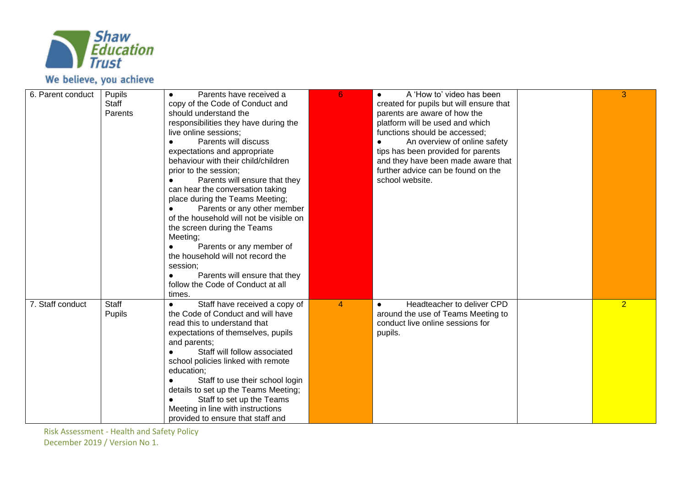

## We believe, you achieve

| 6. Parent conduct | Pupils<br>Staff<br>Parents | Parents have received a<br>copy of the Code of Conduct and<br>should understand the<br>responsibilities they have during the<br>live online sessions;<br>Parents will discuss<br>expectations and appropriate<br>behaviour with their child/children<br>prior to the session;<br>Parents will ensure that they<br>can hear the conversation taking<br>place during the Teams Meeting;<br>Parents or any other member<br>of the household will not be visible on<br>the screen during the Teams<br>Meeting;<br>Parents or any member of<br>the household will not record the<br>session;<br>Parents will ensure that they<br>follow the Code of Conduct at all | 6 | A 'How to' video has been<br>$\bullet$<br>created for pupils but will ensure that<br>parents are aware of how the<br>platform will be used and which<br>functions should be accessed;<br>An overview of online safety<br>tips has been provided for parents<br>and they have been made aware that<br>further advice can be found on the<br>school website. | 3              |
|-------------------|----------------------------|---------------------------------------------------------------------------------------------------------------------------------------------------------------------------------------------------------------------------------------------------------------------------------------------------------------------------------------------------------------------------------------------------------------------------------------------------------------------------------------------------------------------------------------------------------------------------------------------------------------------------------------------------------------|---|------------------------------------------------------------------------------------------------------------------------------------------------------------------------------------------------------------------------------------------------------------------------------------------------------------------------------------------------------------|----------------|
| 7. Staff conduct  | Staff<br>Pupils            | times.<br>Staff have received a copy of<br>$\bullet$<br>the Code of Conduct and will have<br>read this to understand that<br>expectations of themselves, pupils<br>and parents;<br>Staff will follow associated<br>school policies linked with remote<br>education;<br>Staff to use their school login<br>details to set up the Teams Meeting;<br>Staff to set up the Teams<br>Meeting in line with instructions<br>provided to ensure that staff and                                                                                                                                                                                                         | 4 | Headteacher to deliver CPD<br>$\bullet$<br>around the use of Teams Meeting to<br>conduct live online sessions for<br>pupils.                                                                                                                                                                                                                               | $\overline{2}$ |

Risk Assessment - Health and Safety Policy

December 2019 / Version No 1.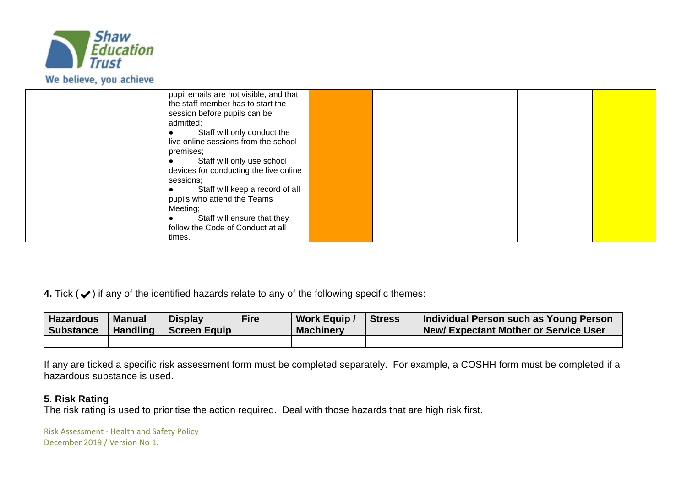

| pupil emails are not visible, and that |  |  |
|----------------------------------------|--|--|
| the staff member has to start the      |  |  |
| session before pupils can be           |  |  |
|                                        |  |  |
| admitted;                              |  |  |
| Staff will only conduct the            |  |  |
| live online sessions from the school   |  |  |
| premises;                              |  |  |
| Staff will only use school             |  |  |
| devices for conducting the live online |  |  |
| sessions:                              |  |  |
| Staff will keep a record of all        |  |  |
| pupils who attend the Teams            |  |  |
| Meeting;                               |  |  |
| Staff will ensure that they            |  |  |
| follow the Code of Conduct at all      |  |  |
| times.                                 |  |  |

**4.** Tick (✔) if any of the identified hazards relate to any of the following specific themes:

| <b>Hazardous</b><br><b>Substance</b> | <b>Manual</b><br><b>Handling</b> | <b>Display</b><br>  Screen Equip | Fire | <b>Work Equip /</b><br><b>Machinery</b> | <b>Stress</b> | Individual Person such as Young Person<br><b>New/Expectant Mother or Service User</b> |
|--------------------------------------|----------------------------------|----------------------------------|------|-----------------------------------------|---------------|---------------------------------------------------------------------------------------|
|                                      |                                  |                                  |      |                                         |               |                                                                                       |

If any are ticked a specific risk assessment form must be completed separately. For example, a COSHH form must be completed if a hazardous substance is used.

## **5**. **Risk Rating**

The risk rating is used to prioritise the action required. Deal with those hazards that are high risk first.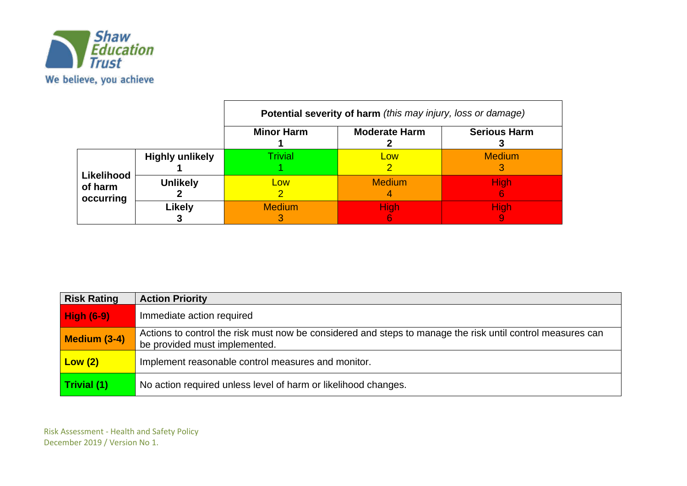

|                                    |                        | Potential severity of harm (this may injury, loss or damage) |                      |                     |  |  |
|------------------------------------|------------------------|--------------------------------------------------------------|----------------------|---------------------|--|--|
|                                    |                        | <b>Minor Harm</b>                                            | <b>Moderate Harm</b> | <b>Serious Harm</b> |  |  |
|                                    | <b>Highly unlikely</b> | Trivial                                                      | Low                  | <b>Medium</b>       |  |  |
| Likelihood<br>of harm<br>occurring | <b>Unlikely</b>        | Low                                                          | <b>Medium</b>        | <b>High</b>         |  |  |
|                                    | <b>Likely</b>          | <b>Medium</b>                                                | <b>High</b>          | Hiah                |  |  |

| <b>Risk Rating</b> | <b>Action Priority</b>                                                                                                                      |
|--------------------|---------------------------------------------------------------------------------------------------------------------------------------------|
| <b>High (6-9)</b>  | Immediate action required                                                                                                                   |
| Medium (3-4)       | Actions to control the risk must now be considered and steps to manage the risk until control measures can<br>be provided must implemented. |
| Low(2)             | Implement reasonable control measures and monitor.                                                                                          |
| Trivial (1)        | No action required unless level of harm or likelihood changes.                                                                              |